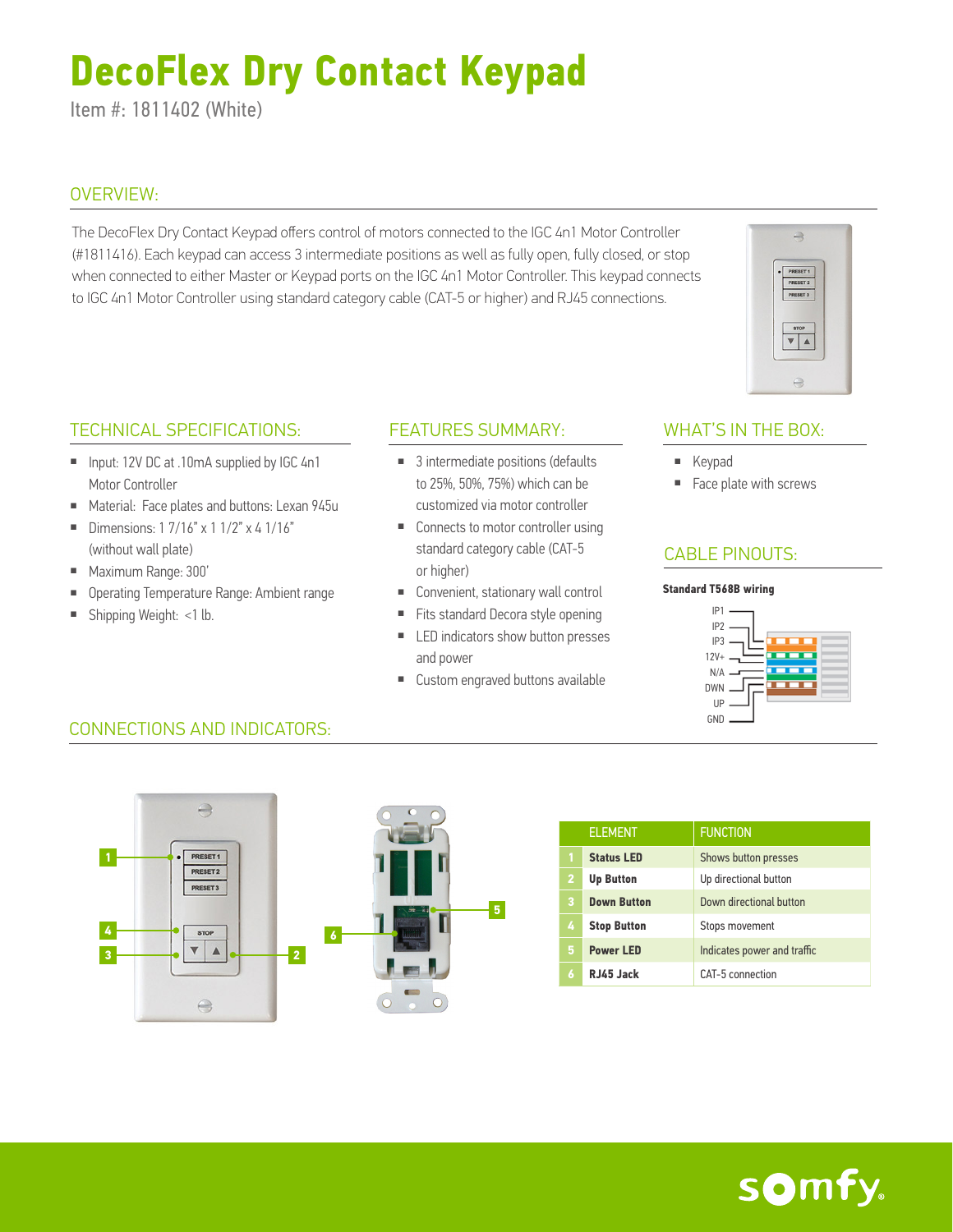# **DecoFlex Dry Contact Keypad**

Item #: 1811402 (White)

#### OVERVIEW:

The DecoFlex Dry Contact Keypad offers control of motors connected to the IGC 4n1 Motor Controller (#1811416). Each keypad can access 3 intermediate positions as well as fully open, fully closed, or stop when connected to either Master or Keypad ports on the IGC 4n1 Motor Controller. This keypad connects to IGC 4n1 Motor Controller using standard category cable (CAT-5 or higher) and RJ45 connections.

#### TECHNICAL SPECIFICATIONS:

- Input: 12V DC at .10mA supplied by IGC 4n1 Motor Controller
- Material: Face plates and buttons: Lexan 945u
- Dimensions:  $17/16" \times 11/2" \times 41/16"$ (without wall plate)
- Maximum Range: 300'
- Operating Temperature Range: Ambient range
- Shipping Weight: <1 lb.

#### FEATURES SUMMARY: WHAT'S IN THE BOX:

- 3 intermediate positions (defaults to 25%, 50%, 75%) which can be customized via motor controller
- Connects to motor controller using standard category cable (CAT-5 or higher)
- Convenient, stationary wall control
- Fits standard Decora style opening
- LED indicators show button presses and power
- Custom engraved buttons available

 $\Rightarrow$ 

PRESET 1

 $\overline{\mathbf{v}}$   $\mathbf{A}$ 

- Keypad
- Face plate with screws

## CABLE PINOUTS:

#### **Standard T568B wiring**



## CONNECTIONS AND INDICATORS:



|   | <b>ELEMENT</b>     | <b>FUNCTION</b>             |
|---|--------------------|-----------------------------|
| h | <b>Status LED</b>  | Shows button presses        |
| 2 | <b>Up Button</b>   | Up directional button       |
| 3 | <b>Down Button</b> | Down directional button     |
| 4 | <b>Stop Button</b> | Stops movement              |
| 5 | <b>Power LED</b>   | Indicates power and traffic |
| 6 | RJ45 Jack          | CAT-5 connection            |